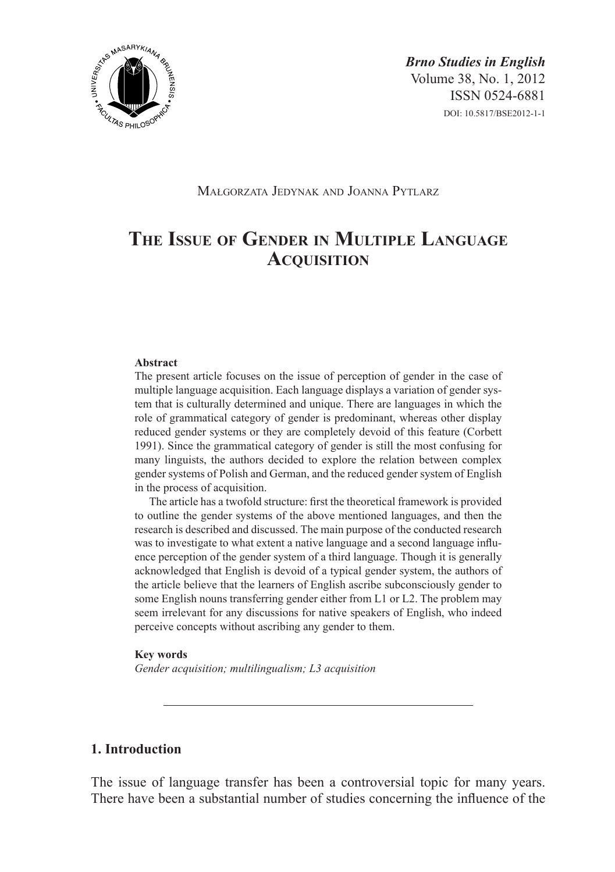

*Brno Studies in English* Volume 38, No. 1, 2012 ISSN 0524-6881 DOI: 10.5817/BSE2012-1-1

# Małgorzata Jedynak and Joanna Pytlarz

# **The Issue of Gender in Multiple Language Acquisition**

#### **Abstract**

The present article focuses on the issue of perception of gender in the case of multiple language acquisition. Each language displays a variation of gender system that is culturally determined and unique. There are languages in which the role of grammatical category of gender is predominant, whereas other display reduced gender systems or they are completely devoid of this feature (Corbett 1991). Since the grammatical category of gender is still the most confusing for many linguists, the authors decided to explore the relation between complex gender systems of Polish and German, and the reduced gender system of English in the process of acquisition.

The article has a twofold structure: first the theoretical framework is provided to outline the gender systems of the above mentioned languages, and then the research is described and discussed. The main purpose of the conducted research was to investigate to what extent a native language and a second language influence perception of the gender system of a third language. Though it is generally acknowledged that English is devoid of a typical gender system, the authors of the article believe that the learners of English ascribe subconsciously gender to some English nouns transferring gender either from L1 or L2. The problem may seem irrelevant for any discussions for native speakers of English, who indeed perceive concepts without ascribing any gender to them.

#### **Key words**

*Gender acquisition; multilingualism; L3 acquisition*

# **1. Introduction**

The issue of language transfer has been a controversial topic for many years. There have been a substantial number of studies concerning the influence of the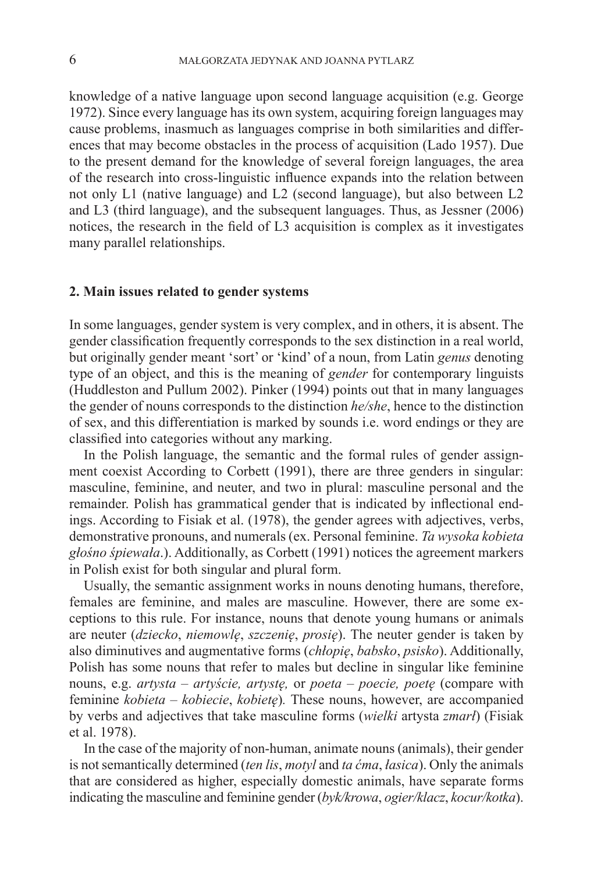knowledge of a native language upon second language acquisition (e.g. George 1972). Since every language has its own system, acquiring foreign languages may cause problems, inasmuch as languages comprise in both similarities and differences that may become obstacles in the process of acquisition (Lado 1957). Due to the present demand for the knowledge of several foreign languages, the area of the research into cross-linguistic influence expands into the relation between not only L1 (native language) and L2 (second language), but also between L2 and L3 (third language), and the subsequent languages. Thus, as Jessner (2006) notices, the research in the field of L3 acquisition is complex as it investigates many parallel relationships.

## **2. Main issues related to gender systems**

In some languages, gender system is very complex, and in others, it is absent. The gender classification frequently corresponds to the sex distinction in a real world, but originally gender meant 'sort' or 'kind' of a noun, from Latin *genus* denoting type of an object, and this is the meaning of *gender* for contemporary linguists (Huddleston and Pullum 2002). Pinker (1994) points out that in many languages the gender of nouns corresponds to the distinction *he/she*, hence to the distinction of sex, and this differentiation is marked by sounds i.e. word endings or they are classified into categories without any marking.

In the Polish language, the semantic and the formal rules of gender assignment coexist According to Corbett (1991), there are three genders in singular: masculine, feminine, and neuter, and two in plural: masculine personal and the remainder. Polish has grammatical gender that is indicated by inflectional endings. According to Fisiak et al. (1978), the gender agrees with adjectives, verbs, demonstrative pronouns, and numerals (ex. Personal feminine. *Ta wysoka kobieta głośno śpiewała*.). Additionally, as Corbett (1991) notices the agreement markers in Polish exist for both singular and plural form.

Usually, the semantic assignment works in nouns denoting humans, therefore, females are feminine, and males are masculine. However, there are some exceptions to this rule. For instance, nouns that denote young humans or animals are neuter (*dziecko*, *niemowlę*, *szczenię*, *prosię*). The neuter gender is taken by also diminutives and augmentative forms (*chłopię*, *babsko*, *psisko*). Additionally, Polish has some nouns that refer to males but decline in singular like feminine nouns, e.g. *artysta – artyście, artystę,* or *poeta – poecie, poetę* (compare with feminine *kobieta* – *kobiecie*, *kobietę*)*.* These nouns, however, are accompanied by verbs and adjectives that take masculine forms (*wielki* artysta *zmarł*) (Fisiak et al. 1978).

In the case of the majority of non-human, animate nouns (animals), their gender is not semantically determined (*ten lis*, *motyl* and *ta ćma*, *łasica*). Only the animals that are considered as higher, especially domestic animals, have separate forms indicating the masculine and feminine gender (*byk/krowa*, *ogier/klacz*, *kocur/kotka*).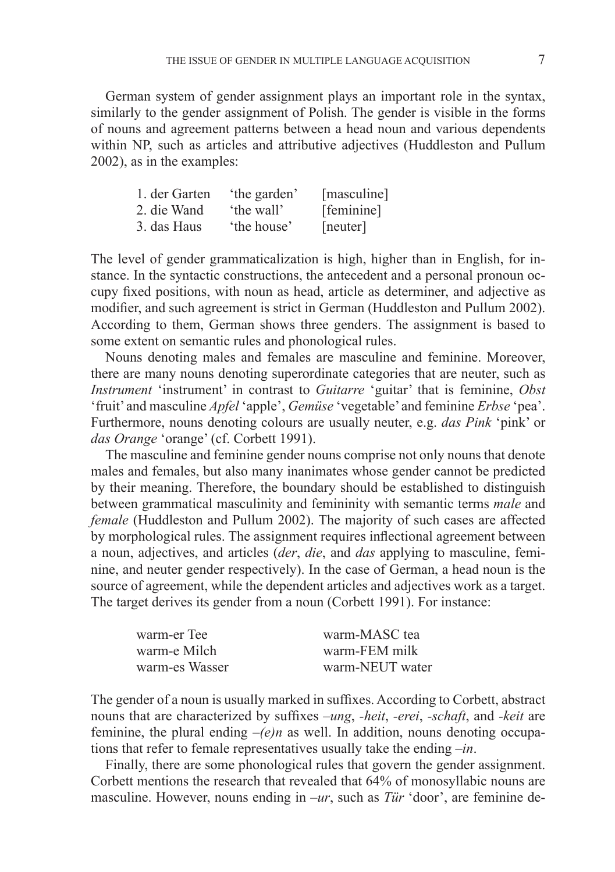German system of gender assignment plays an important role in the syntax, similarly to the gender assignment of Polish. The gender is visible in the forms of nouns and agreement patterns between a head noun and various dependents within NP, such as articles and attributive adjectives (Huddleston and Pullum 2002), as in the examples:

| 1. der Garten | 'the garden' | [masculine] |
|---------------|--------------|-------------|
| 2. die Wand   | 'the wall'   | [feminine]  |
| 3. das Haus   | 'the house'  | [neuter]    |

The level of gender grammaticalization is high, higher than in English, for instance. In the syntactic constructions, the antecedent and a personal pronoun occupy fixed positions, with noun as head, article as determiner, and adjective as modifier, and such agreement is strict in German (Huddleston and Pullum 2002). According to them, German shows three genders. The assignment is based to some extent on semantic rules and phonological rules.

Nouns denoting males and females are masculine and feminine. Moreover, there are many nouns denoting superordinate categories that are neuter, such as *Instrument* 'instrument' in contrast to *Guitarre* 'guitar' that is feminine, *Obst* 'fruit' and masculine *Apfel* 'apple', *Gemüse* 'vegetable' and feminine *Erbse* 'pea'. Furthermore, nouns denoting colours are usually neuter, e.g. *das Pink* 'pink' or *das Orange* 'orange' (cf. Corbett 1991).

The masculine and feminine gender nouns comprise not only nouns that denote males and females, but also many inanimates whose gender cannot be predicted by their meaning. Therefore, the boundary should be established to distinguish between grammatical masculinity and femininity with semantic terms *male* and *female* (Huddleston and Pullum 2002). The majority of such cases are affected by morphological rules. The assignment requires inflectional agreement between a noun, adjectives, and articles (*der*, *die*, and *das* applying to masculine, feminine, and neuter gender respectively). In the case of German, a head noun is the source of agreement, while the dependent articles and adjectives work as a target. The target derives its gender from a noun (Corbett 1991). For instance:

| warm-er Tee    | warm-MASC tea   |
|----------------|-----------------|
| warm-e Milch   | warm-FEM milk   |
| warm-es Wasser | warm-NEUT water |

The gender of a noun is usually marked in suffixes. According to Corbett, abstract nouns that are characterized by suffixes *–ung*, *-heit*, *-erei*, *-schaft*, and *-keit* are feminine, the plural ending  $-(e)n$  as well. In addition, nouns denoting occupations that refer to female representatives usually take the ending *–in*.

Finally, there are some phonological rules that govern the gender assignment. Corbett mentions the research that revealed that 64% of monosyllabic nouns are masculine. However, nouns ending in *–ur*, such as *Tür* 'door', are feminine de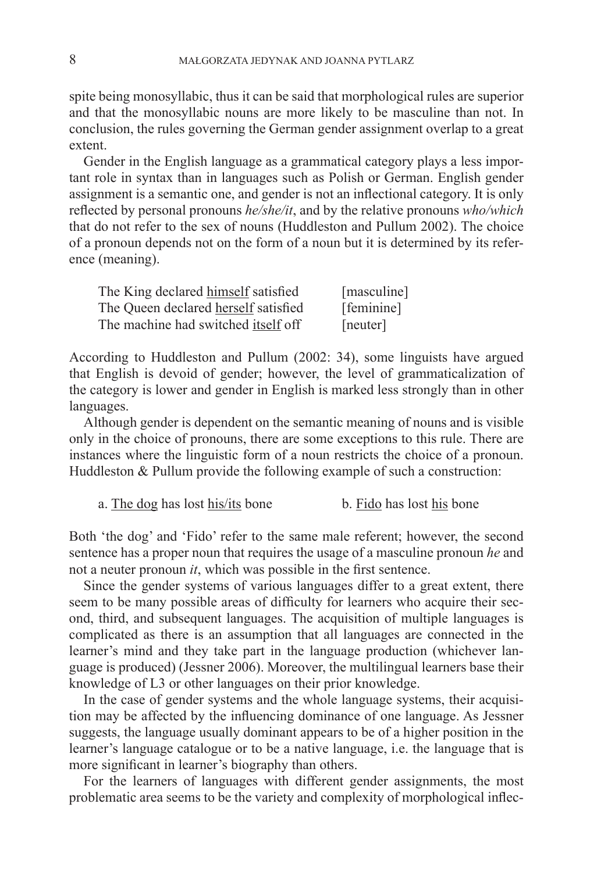spite being monosyllabic, thus it can be said that morphological rules are superior and that the monosyllabic nouns are more likely to be masculine than not. In conclusion, the rules governing the German gender assignment overlap to a great extent.

Gender in the English language as a grammatical category plays a less important role in syntax than in languages such as Polish or German. English gender assignment is a semantic one, and gender is not an inflectional category. It is only reflected by personal pronouns *he/she/it*, and by the relative pronouns *who/which* that do not refer to the sex of nouns (Huddleston and Pullum 2002). The choice of a pronoun depends not on the form of a noun but it is determined by its reference (meaning).

| The King declared himself satisfied  | [masculine] |
|--------------------------------------|-------------|
| The Queen declared herself satisfied | [feminine]  |
| The machine had switched itself off  | [neuter]    |

According to Huddleston and Pullum (2002: 34), some linguists have argued that English is devoid of gender; however, the level of grammaticalization of the category is lower and gender in English is marked less strongly than in other languages.

Although gender is dependent on the semantic meaning of nouns and is visible only in the choice of pronouns, there are some exceptions to this rule. There are instances where the linguistic form of a noun restricts the choice of a pronoun. Huddleston & Pullum provide the following example of such a construction:

a. The dog has lost his/its bone b. Fido has lost his bone

Both 'the dog' and 'Fido' refer to the same male referent; however, the second sentence has a proper noun that requires the usage of a masculine pronoun *he* and not a neuter pronoun *it*, which was possible in the first sentence.

Since the gender systems of various languages differ to a great extent, there seem to be many possible areas of difficulty for learners who acquire their second, third, and subsequent languages. The acquisition of multiple languages is complicated as there is an assumption that all languages are connected in the learner's mind and they take part in the language production (whichever language is produced) (Jessner 2006). Moreover, the multilingual learners base their knowledge of L3 or other languages on their prior knowledge.

In the case of gender systems and the whole language systems, their acquisition may be affected by the influencing dominance of one language. As Jessner suggests, the language usually dominant appears to be of a higher position in the learner's language catalogue or to be a native language, i.e. the language that is more significant in learner's biography than others.

For the learners of languages with different gender assignments, the most problematic area seems to be the variety and complexity of morphological inflec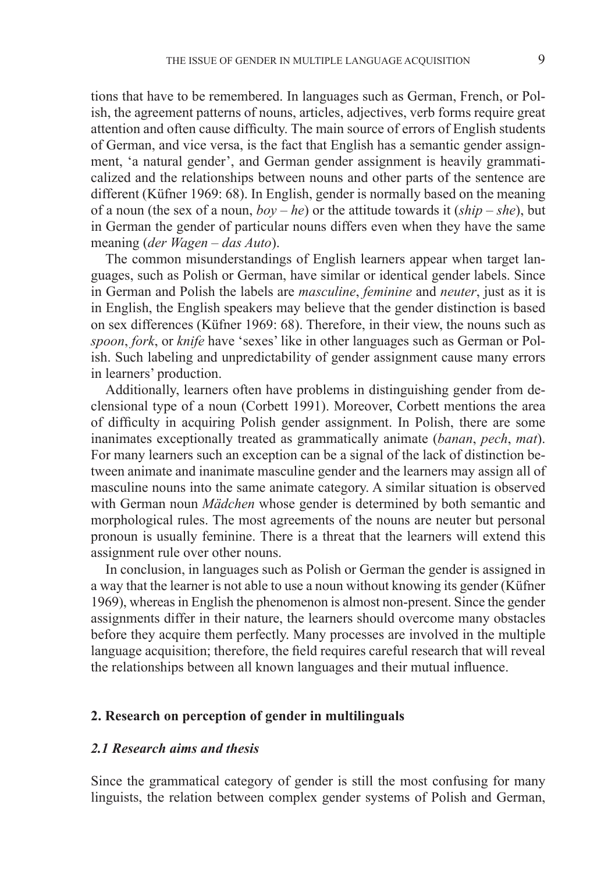tions that have to be remembered. In languages such as German, French, or Polish, the agreement patterns of nouns, articles, adjectives, verb forms require great attention and often cause difficulty. The main source of errors of English students of German, and vice versa, is the fact that English has a semantic gender assignment, 'a natural gender', and German gender assignment is heavily grammaticalized and the relationships between nouns and other parts of the sentence are different (Küfner 1969: 68). In English, gender is normally based on the meaning of a noun (the sex of a noun, *boy – he*) or the attitude towards it (*ship – she*), but in German the gender of particular nouns differs even when they have the same meaning (*der Wagen – das Auto*).

The common misunderstandings of English learners appear when target languages, such as Polish or German, have similar or identical gender labels. Since in German and Polish the labels are *masculine*, *feminine* and *neuter*, just as it is in English, the English speakers may believe that the gender distinction is based on sex differences (Küfner 1969: 68). Therefore, in their view, the nouns such as *spoon*, *fork*, or *knife* have 'sexes' like in other languages such as German or Polish. Such labeling and unpredictability of gender assignment cause many errors in learners' production.

Additionally, learners often have problems in distinguishing gender from declensional type of a noun (Corbett 1991). Moreover, Corbett mentions the area of difficulty in acquiring Polish gender assignment. In Polish, there are some inanimates exceptionally treated as grammatically animate (*banan*, *pech*, *mat*). For many learners such an exception can be a signal of the lack of distinction between animate and inanimate masculine gender and the learners may assign all of masculine nouns into the same animate category. A similar situation is observed with German noun *Mädchen* whose gender is determined by both semantic and morphological rules. The most agreements of the nouns are neuter but personal pronoun is usually feminine. There is a threat that the learners will extend this assignment rule over other nouns.

In conclusion, in languages such as Polish or German the gender is assigned in a way that the learner is not able to use a noun without knowing its gender (Küfner 1969), whereas in English the phenomenon is almost non-present. Since the gender assignments differ in their nature, the learners should overcome many obstacles before they acquire them perfectly. Many processes are involved in the multiple language acquisition; therefore, the field requires careful research that will reveal the relationships between all known languages and their mutual influence.

#### **2. Research on perception of gender in multilinguals**

#### *2.1 Research aims and thesis*

Since the grammatical category of gender is still the most confusing for many linguists, the relation between complex gender systems of Polish and German,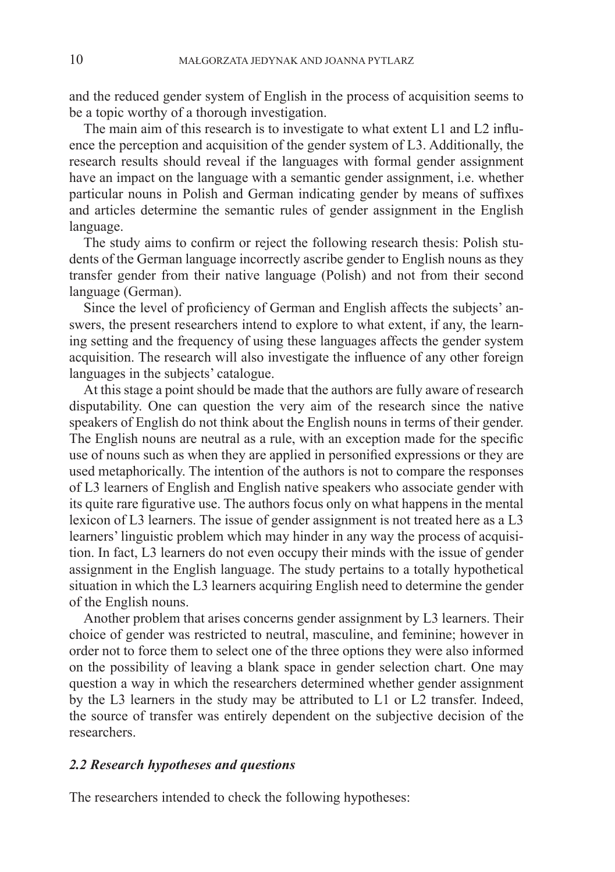and the reduced gender system of English in the process of acquisition seems to be a topic worthy of a thorough investigation.

The main aim of this research is to investigate to what extent L1 and L2 influence the perception and acquisition of the gender system of L3. Additionally, the research results should reveal if the languages with formal gender assignment have an impact on the language with a semantic gender assignment, i.e. whether particular nouns in Polish and German indicating gender by means of suffixes and articles determine the semantic rules of gender assignment in the English language.

The study aims to confirm or reject the following research thesis: Polish students of the German language incorrectly ascribe gender to English nouns as they transfer gender from their native language (Polish) and not from their second language (German).

Since the level of proficiency of German and English affects the subjects' answers, the present researchers intend to explore to what extent, if any, the learning setting and the frequency of using these languages affects the gender system acquisition. The research will also investigate the influence of any other foreign languages in the subjects' catalogue.

At this stage a point should be made that the authors are fully aware of research disputability. One can question the very aim of the research since the native speakers of English do not think about the English nouns in terms of their gender. The English nouns are neutral as a rule, with an exception made for the specific use of nouns such as when they are applied in personified expressions or they are used metaphorically. The intention of the authors is not to compare the responses of L3 learners of English and English native speakers who associate gender with its quite rare figurative use. The authors focus only on what happens in the mental lexicon of L3 learners. The issue of gender assignment is not treated here as a L3 learners' linguistic problem which may hinder in any way the process of acquisition. In fact, L3 learners do not even occupy their minds with the issue of gender assignment in the English language. The study pertains to a totally hypothetical situation in which the L3 learners acquiring English need to determine the gender of the English nouns.

Another problem that arises concerns gender assignment by L3 learners. Their choice of gender was restricted to neutral, masculine, and feminine; however in order not to force them to select one of the three options they were also informed on the possibility of leaving a blank space in gender selection chart. One may question a way in which the researchers determined whether gender assignment by the L3 learners in the study may be attributed to L1 or L2 transfer. Indeed, the source of transfer was entirely dependent on the subjective decision of the researchers.

## *2.2 Research hypotheses and questions*

The researchers intended to check the following hypotheses: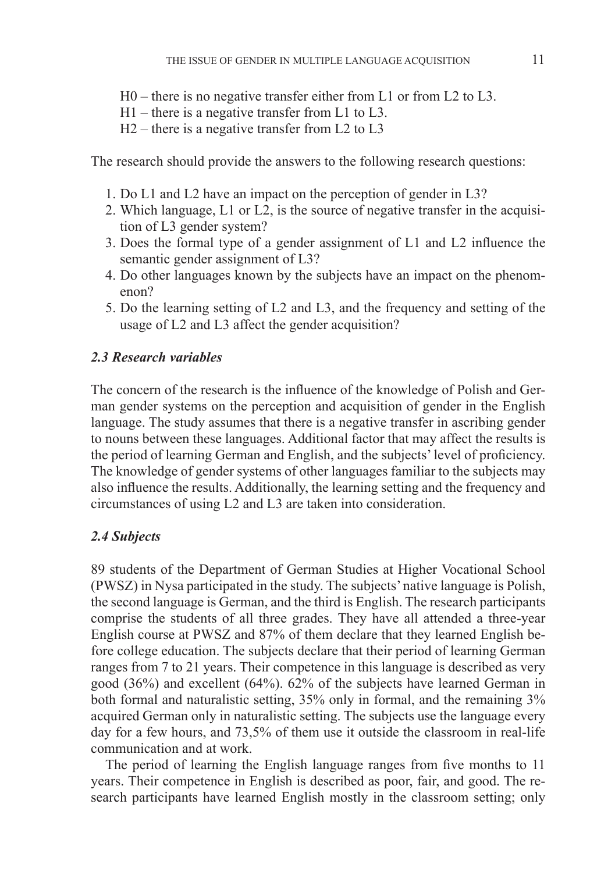- H0 there is no negative transfer either from L1 or from L2 to L3.
- H1 there is a negative transfer from L1 to L3.
- H2 there is a negative transfer from L2 to L3

The research should provide the answers to the following research questions:

- 1. Do L1 and L2 have an impact on the perception of gender in L3?
- 2. Which language, L1 or L2, is the source of negative transfer in the acquisition of L3 gender system?
- 3. Does the formal type of a gender assignment of L1 and L2 influence the semantic gender assignment of L3?
- 4. Do other languages known by the subjects have an impact on the phenomenon?
- 5. Do the learning setting of L2 and L3, and the frequency and setting of the usage of L2 and L3 affect the gender acquisition?

## *2.3 Research variables*

The concern of the research is the influence of the knowledge of Polish and German gender systems on the perception and acquisition of gender in the English language. The study assumes that there is a negative transfer in ascribing gender to nouns between these languages. Additional factor that may affect the results is the period of learning German and English, and the subjects' level of proficiency. The knowledge of gender systems of other languages familiar to the subjects may also influence the results. Additionally, the learning setting and the frequency and circumstances of using L2 and L3 are taken into consideration.

#### *2.4 Subjects*

89 students of the Department of German Studies at Higher Vocational School (PWSZ) in Nysa participated in the study. The subjects' native language is Polish, the second language is German, and the third is English. The research participants comprise the students of all three grades. They have all attended a three-year English course at PWSZ and 87% of them declare that they learned English before college education. The subjects declare that their period of learning German ranges from 7 to 21 years. Their competence in this language is described as very good (36%) and excellent (64%). 62% of the subjects have learned German in both formal and naturalistic setting, 35% only in formal, and the remaining 3% acquired German only in naturalistic setting. The subjects use the language every day for a few hours, and 73,5% of them use it outside the classroom in real-life communication and at work.

The period of learning the English language ranges from five months to 11 years. Their competence in English is described as poor, fair, and good. The research participants have learned English mostly in the classroom setting; only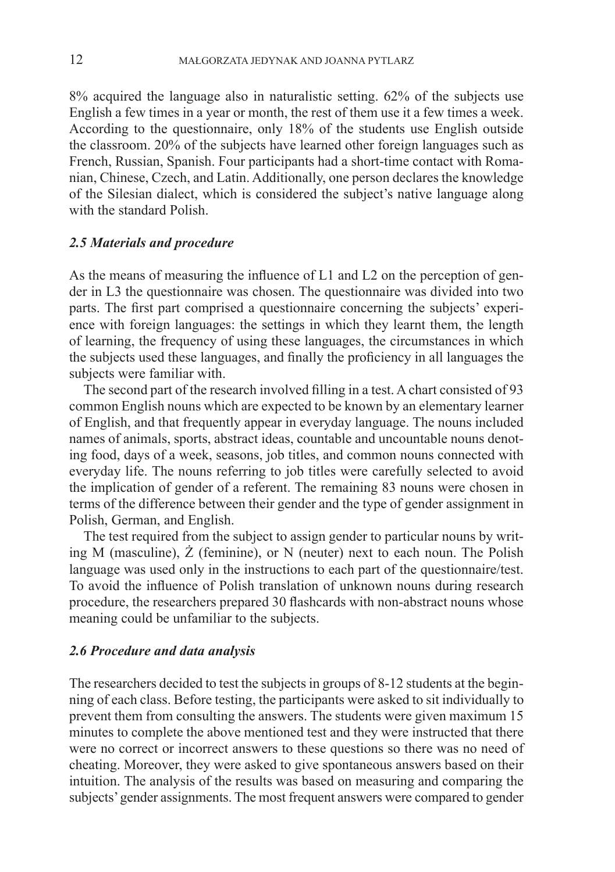8% acquired the language also in naturalistic setting. 62% of the subjects use English a few times in a year or month, the rest of them use it a few times a week. According to the questionnaire, only 18% of the students use English outside the classroom. 20% of the subjects have learned other foreign languages such as French, Russian, Spanish. Four participants had a short-time contact with Romanian, Chinese, Czech, and Latin. Additionally, one person declares the knowledge of the Silesian dialect, which is considered the subject's native language along with the standard Polish.

#### *2.5 Materials and procedure*

As the means of measuring the influence of L1 and L2 on the perception of gender in L3 the questionnaire was chosen. The questionnaire was divided into two parts. The first part comprised a questionnaire concerning the subjects' experience with foreign languages: the settings in which they learnt them, the length of learning, the frequency of using these languages, the circumstances in which the subjects used these languages, and finally the proficiency in all languages the subjects were familiar with.

The second part of the research involved filling in a test. A chart consisted of 93 common English nouns which are expected to be known by an elementary learner of English, and that frequently appear in everyday language. The nouns included names of animals, sports, abstract ideas, countable and uncountable nouns denoting food, days of a week, seasons, job titles, and common nouns connected with everyday life. The nouns referring to job titles were carefully selected to avoid the implication of gender of a referent. The remaining 83 nouns were chosen in terms of the difference between their gender and the type of gender assignment in Polish, German, and English.

The test required from the subject to assign gender to particular nouns by writing M (masculine), Ż (feminine), or N (neuter) next to each noun. The Polish language was used only in the instructions to each part of the questionnaire/test. To avoid the influence of Polish translation of unknown nouns during research procedure, the researchers prepared 30 flashcards with non-abstract nouns whose meaning could be unfamiliar to the subjects.

## *2.6 Procedure and data analysis*

The researchers decided to test the subjects in groups of 8-12 students at the beginning of each class. Before testing, the participants were asked to sit individually to prevent them from consulting the answers. The students were given maximum 15 minutes to complete the above mentioned test and they were instructed that there were no correct or incorrect answers to these questions so there was no need of cheating. Moreover, they were asked to give spontaneous answers based on their intuition. The analysis of the results was based on measuring and comparing the subjects' gender assignments. The most frequent answers were compared to gender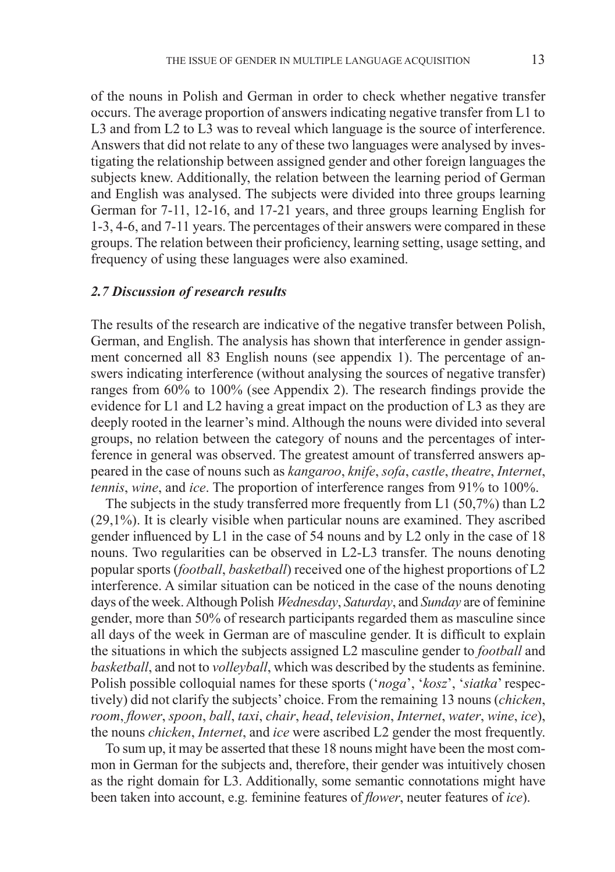of the nouns in Polish and German in order to check whether negative transfer occurs. The average proportion of answers indicating negative transfer from L1 to L3 and from L2 to L3 was to reveal which language is the source of interference. Answers that did not relate to any of these two languages were analysed by investigating the relationship between assigned gender and other foreign languages the subjects knew. Additionally, the relation between the learning period of German and English was analysed. The subjects were divided into three groups learning German for 7-11, 12-16, and 17-21 years, and three groups learning English for 1-3, 4-6, and 7-11 years. The percentages of their answers were compared in these groups. The relation between their proficiency, learning setting, usage setting, and frequency of using these languages were also examined.

### *2.7 Discussion of research results*

The results of the research are indicative of the negative transfer between Polish, German, and English. The analysis has shown that interference in gender assignment concerned all 83 English nouns (see appendix 1). The percentage of answers indicating interference (without analysing the sources of negative transfer) ranges from 60% to 100% (see Appendix 2). The research findings provide the evidence for L1 and L2 having a great impact on the production of L3 as they are deeply rooted in the learner's mind. Although the nouns were divided into several groups, no relation between the category of nouns and the percentages of interference in general was observed. The greatest amount of transferred answers appeared in the case of nouns such as *kangaroo*, *knife*, *sofa*, *castle*, *theatre*, *Internet*, *tennis*, *wine*, and *ice*. The proportion of interference ranges from 91% to 100%.

The subjects in the study transferred more frequently from L1 (50,7%) than L2 (29,1%). It is clearly visible when particular nouns are examined. They ascribed gender influenced by L1 in the case of 54 nouns and by L2 only in the case of 18 nouns. Two regularities can be observed in L2-L3 transfer. The nouns denoting popular sports (*football*, *basketball*) received one of the highest proportions of L2 interference. A similar situation can be noticed in the case of the nouns denoting days of the week. Although Polish *Wednesday*, *Saturday*, and *Sunday* are of feminine gender, more than 50% of research participants regarded them as masculine since all days of the week in German are of masculine gender. It is difficult to explain the situations in which the subjects assigned L2 masculine gender to *football* and *basketball*, and not to *volleyball*, which was described by the students as feminine. Polish possible colloquial names for these sports ('*noga*', '*kosz*', '*siatka*' respectively) did not clarify the subjects' choice. From the remaining 13 nouns (*chicken*, *room*, *flower*, *spoon*, *ball*, *taxi*, *chair*, *head*, *television*, *Internet*, *water*, *wine*, *ice*), the nouns *chicken*, *Internet*, and *ice* were ascribed L2 gender the most frequently.

To sum up, it may be asserted that these 18 nouns might have been the most common in German for the subjects and, therefore, their gender was intuitively chosen as the right domain for L3. Additionally, some semantic connotations might have been taken into account, e.g. feminine features of *flower*, neuter features of *ice*).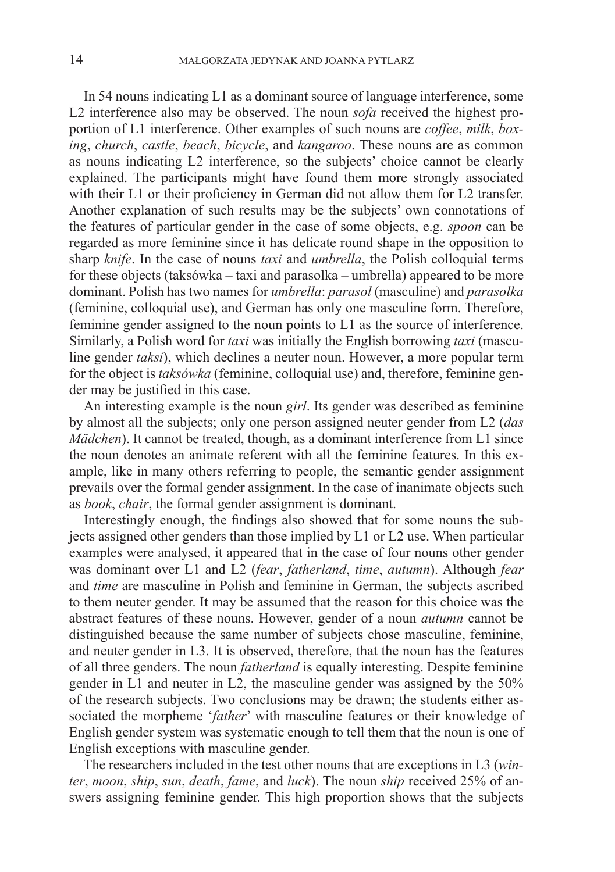In 54 nouns indicating L1 as a dominant source of language interference, some L2 interference also may be observed. The noun *sofa* received the highest proportion of L1 interference. Other examples of such nouns are *coffee*, *milk*, *boxing*, *church*, *castle*, *beach*, *bicycle*, and *kangaroo*. These nouns are as common as nouns indicating L2 interference, so the subjects' choice cannot be clearly explained. The participants might have found them more strongly associated with their L1 or their proficiency in German did not allow them for L2 transfer. Another explanation of such results may be the subjects' own connotations of the features of particular gender in the case of some objects, e.g. *spoon* can be regarded as more feminine since it has delicate round shape in the opposition to sharp *knife*. In the case of nouns *taxi* and *umbrella*, the Polish colloquial terms for these objects (taksówka – taxi and parasolka – umbrella) appeared to be more dominant. Polish has two names for *umbrella*: *parasol* (masculine) and *parasolka*  (feminine, colloquial use), and German has only one masculine form. Therefore, feminine gender assigned to the noun points to L1 as the source of interference. Similarly, a Polish word for *taxi* was initially the English borrowing *taxi* (masculine gender *taksi*), which declines a neuter noun. However, a more popular term for the object is *taksówka* (feminine, colloquial use) and, therefore, feminine gender may be justified in this case.

An interesting example is the noun *girl*. Its gender was described as feminine by almost all the subjects; only one person assigned neuter gender from L2 (*das Mädchen*). It cannot be treated, though, as a dominant interference from L1 since the noun denotes an animate referent with all the feminine features. In this example, like in many others referring to people, the semantic gender assignment prevails over the formal gender assignment. In the case of inanimate objects such as *book*, *chair*, the formal gender assignment is dominant.

Interestingly enough, the findings also showed that for some nouns the subjects assigned other genders than those implied by L1 or L2 use. When particular examples were analysed, it appeared that in the case of four nouns other gender was dominant over L1 and L2 (*fear*, *fatherland*, *time*, *autumn*). Although *fear* and *time* are masculine in Polish and feminine in German, the subjects ascribed to them neuter gender. It may be assumed that the reason for this choice was the abstract features of these nouns. However, gender of a noun *autumn* cannot be distinguished because the same number of subjects chose masculine, feminine, and neuter gender in L3. It is observed, therefore, that the noun has the features of all three genders. The noun *fatherland* is equally interesting. Despite feminine gender in L1 and neuter in L2, the masculine gender was assigned by the 50% of the research subjects. Two conclusions may be drawn; the students either associated the morpheme '*father*' with masculine features or their knowledge of English gender system was systematic enough to tell them that the noun is one of English exceptions with masculine gender.

The researchers included in the test other nouns that are exceptions in L3 (*winter*, *moon*, *ship*, *sun*, *death*, *fame*, and *luck*). The noun *ship* received 25% of answers assigning feminine gender. This high proportion shows that the subjects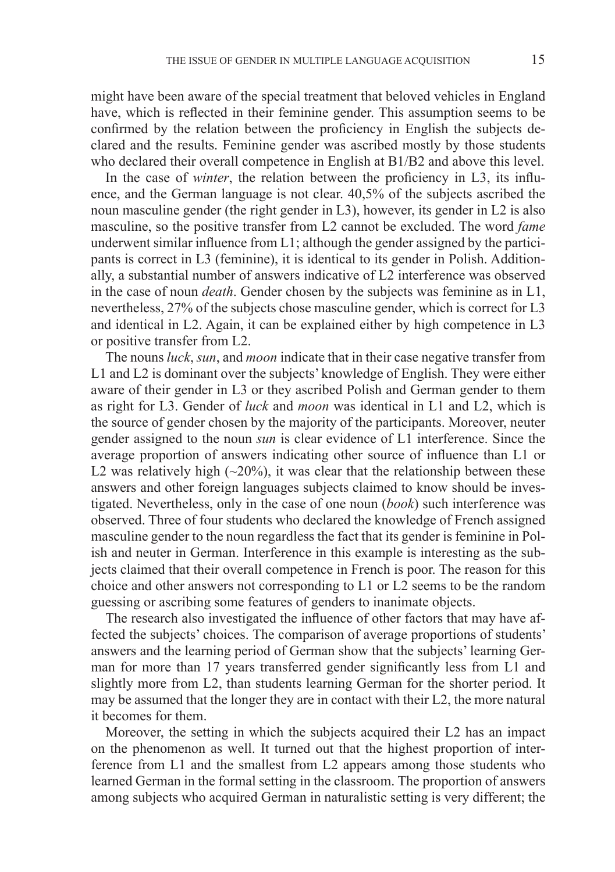might have been aware of the special treatment that beloved vehicles in England have, which is reflected in their feminine gender. This assumption seems to be confirmed by the relation between the proficiency in English the subjects declared and the results. Feminine gender was ascribed mostly by those students who declared their overall competence in English at B1/B2 and above this level.

In the case of *winter*, the relation between the proficiency in L3, its influence, and the German language is not clear. 40,5% of the subjects ascribed the noun masculine gender (the right gender in L3), however, its gender in L2 is also masculine, so the positive transfer from L2 cannot be excluded. The word *fame* underwent similar influence from L1; although the gender assigned by the participants is correct in L3 (feminine), it is identical to its gender in Polish. Additionally, a substantial number of answers indicative of L2 interference was observed in the case of noun *death*. Gender chosen by the subjects was feminine as in L1, nevertheless, 27% of the subjects chose masculine gender, which is correct for L3 and identical in L2. Again, it can be explained either by high competence in L3 or positive transfer from L2.

The nouns *luck*, *sun*, and *moon* indicate that in their case negative transfer from L1 and L2 is dominant over the subjects' knowledge of English. They were either aware of their gender in L3 or they ascribed Polish and German gender to them as right for L3. Gender of *luck* and *moon* was identical in L1 and L2, which is the source of gender chosen by the majority of the participants. Moreover, neuter gender assigned to the noun *sun* is clear evidence of L1 interference. Since the average proportion of answers indicating other source of influence than L1 or L2 was relatively high  $(\sim 20\%)$ , it was clear that the relationship between these answers and other foreign languages subjects claimed to know should be investigated. Nevertheless, only in the case of one noun (*book*) such interference was observed. Three of four students who declared the knowledge of French assigned masculine gender to the noun regardless the fact that its gender is feminine in Polish and neuter in German. Interference in this example is interesting as the subjects claimed that their overall competence in French is poor. The reason for this choice and other answers not corresponding to L1 or L2 seems to be the random guessing or ascribing some features of genders to inanimate objects.

The research also investigated the influence of other factors that may have affected the subjects' choices. The comparison of average proportions of students' answers and the learning period of German show that the subjects' learning German for more than 17 years transferred gender significantly less from L1 and slightly more from L2, than students learning German for the shorter period. It may be assumed that the longer they are in contact with their L2, the more natural it becomes for them.

Moreover, the setting in which the subjects acquired their L2 has an impact on the phenomenon as well. It turned out that the highest proportion of interference from L1 and the smallest from L2 appears among those students who learned German in the formal setting in the classroom. The proportion of answers among subjects who acquired German in naturalistic setting is very different; the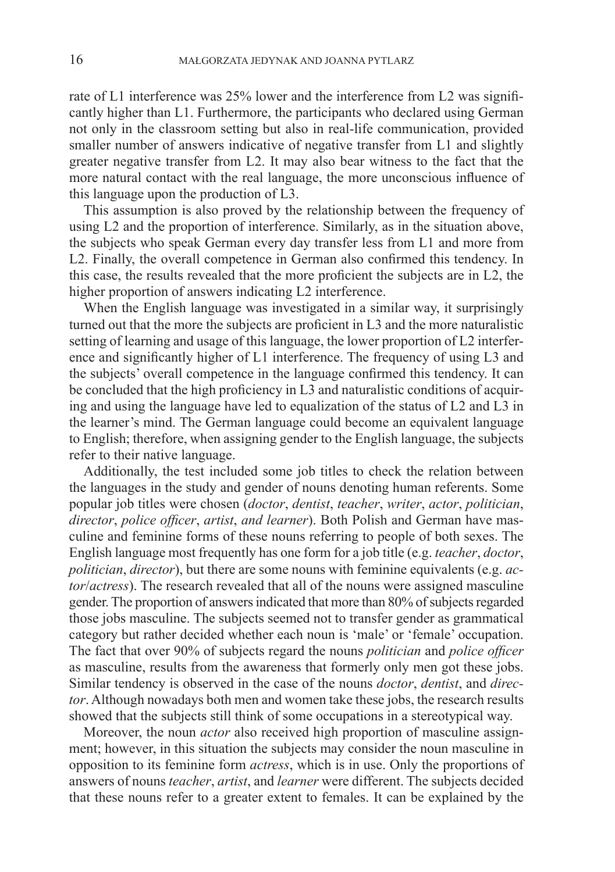rate of L1 interference was 25% lower and the interference from L2 was significantly higher than L1. Furthermore, the participants who declared using German not only in the classroom setting but also in real-life communication, provided smaller number of answers indicative of negative transfer from L1 and slightly greater negative transfer from L2. It may also bear witness to the fact that the more natural contact with the real language, the more unconscious influence of this language upon the production of L3.

This assumption is also proved by the relationship between the frequency of using L2 and the proportion of interference. Similarly, as in the situation above, the subjects who speak German every day transfer less from L1 and more from L2. Finally, the overall competence in German also confirmed this tendency. In this case, the results revealed that the more proficient the subjects are in L2, the higher proportion of answers indicating L2 interference.

When the English language was investigated in a similar way, it surprisingly turned out that the more the subjects are proficient in L3 and the more naturalistic setting of learning and usage of this language, the lower proportion of L2 interference and significantly higher of L1 interference. The frequency of using L3 and the subjects' overall competence in the language confirmed this tendency. It can be concluded that the high proficiency in L3 and naturalistic conditions of acquiring and using the language have led to equalization of the status of L2 and L3 in the learner's mind. The German language could become an equivalent language to English; therefore, when assigning gender to the English language, the subjects refer to their native language.

Additionally, the test included some job titles to check the relation between the languages in the study and gender of nouns denoting human referents. Some popular job titles were chosen (*doctor*, *dentist*, *teacher*, *writer*, *actor*, *politician*, *director*, *police officer*, *artist*, *and learner*). Both Polish and German have masculine and feminine forms of these nouns referring to people of both sexes. The English language most frequently has one form for a job title (e.g. *teacher*, *doctor*, *politician*, *director*), but there are some nouns with feminine equivalents (e.g. *actor*/*actress*). The research revealed that all of the nouns were assigned masculine gender. The proportion of answers indicated that more than 80% of subjects regarded those jobs masculine. The subjects seemed not to transfer gender as grammatical category but rather decided whether each noun is 'male' or 'female' occupation. The fact that over 90% of subjects regard the nouns *politician* and *police officer* as masculine, results from the awareness that formerly only men got these jobs. Similar tendency is observed in the case of the nouns *doctor*, *dentist*, and *director*. Although nowadays both men and women take these jobs, the research results showed that the subjects still think of some occupations in a stereotypical way.

Moreover, the noun *actor* also received high proportion of masculine assignment; however, in this situation the subjects may consider the noun masculine in opposition to its feminine form *actress*, which is in use. Only the proportions of answers of nouns *teacher*, *artist*, and *learner* were different. The subjects decided that these nouns refer to a greater extent to females. It can be explained by the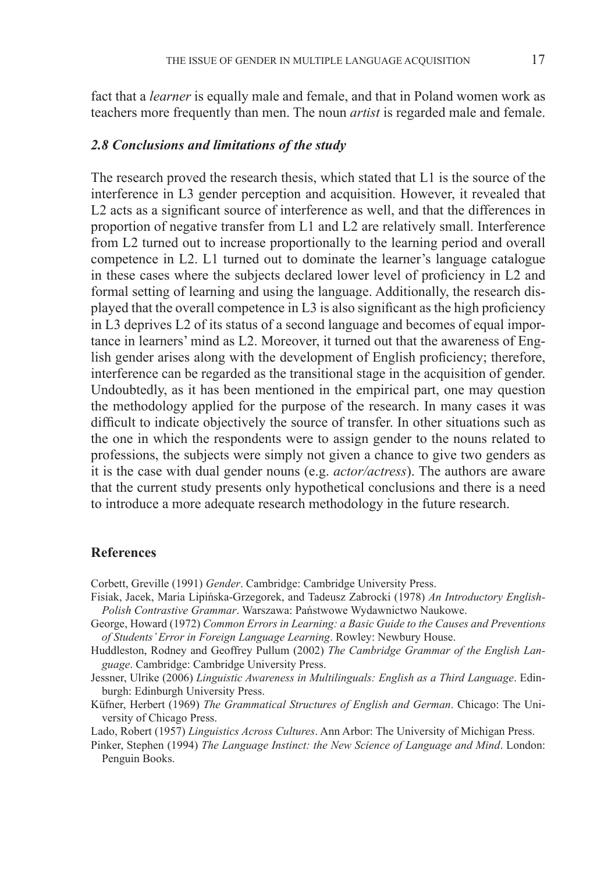fact that a *learner* is equally male and female, and that in Poland women work as teachers more frequently than men. The noun *artist* is regarded male and female.

#### *2.8 Conclusions and limitations of the study*

The research proved the research thesis, which stated that L1 is the source of the interference in L3 gender perception and acquisition. However, it revealed that L2 acts as a significant source of interference as well, and that the differences in proportion of negative transfer from L1 and L2 are relatively small. Interference from L2 turned out to increase proportionally to the learning period and overall competence in L2. L1 turned out to dominate the learner's language catalogue in these cases where the subjects declared lower level of proficiency in L2 and formal setting of learning and using the language. Additionally, the research displayed that the overall competence in L3 is also significant as the high proficiency in L3 deprives L2 of its status of a second language and becomes of equal importance in learners' mind as L2. Moreover, it turned out that the awareness of English gender arises along with the development of English proficiency; therefore, interference can be regarded as the transitional stage in the acquisition of gender. Undoubtedly, as it has been mentioned in the empirical part, one may question the methodology applied for the purpose of the research. In many cases it was difficult to indicate objectively the source of transfer. In other situations such as the one in which the respondents were to assign gender to the nouns related to professions, the subjects were simply not given a chance to give two genders as it is the case with dual gender nouns (e.g. *actor/actress*). The authors are aware that the current study presents only hypothetical conclusions and there is a need to introduce a more adequate research methodology in the future research.

## **References**

Corbett, Greville (1991) *Gender*. Cambridge: Cambridge University Press.

- Fisiak, Jacek, Maria Lipińska-Grzegorek, and Tadeusz Zabrocki (1978) *An Introductory English-Polish Contrastive Grammar*. Warszawa: Państwowe Wydawnictwo Naukowe.
- George, Howard (1972) *Common Errors in Learning: a Basic Guide to the Causes and Preventions of Students' Error in Foreign Language Learning*. Rowley: Newbury House.
- Huddleston, Rodney and Geoffrey Pullum (2002) *The Cambridge Grammar of the English Language*. Cambridge: Cambridge University Press.
- Jessner, Ulrike (2006) *Linguistic Awareness in Multilinguals: English as a Third Language*. Edinburgh: Edinburgh University Press.
- Küfner, Herbert (1969) *The Grammatical Structures of English and German*. Chicago: The University of Chicago Press.

Lado, Robert (1957) *Linguistics Across Cultures*. Ann Arbor: The University of Michigan Press.

Pinker, Stephen (1994) *The Language Instinct: the New Science of Language and Mind*. London: Penguin Books.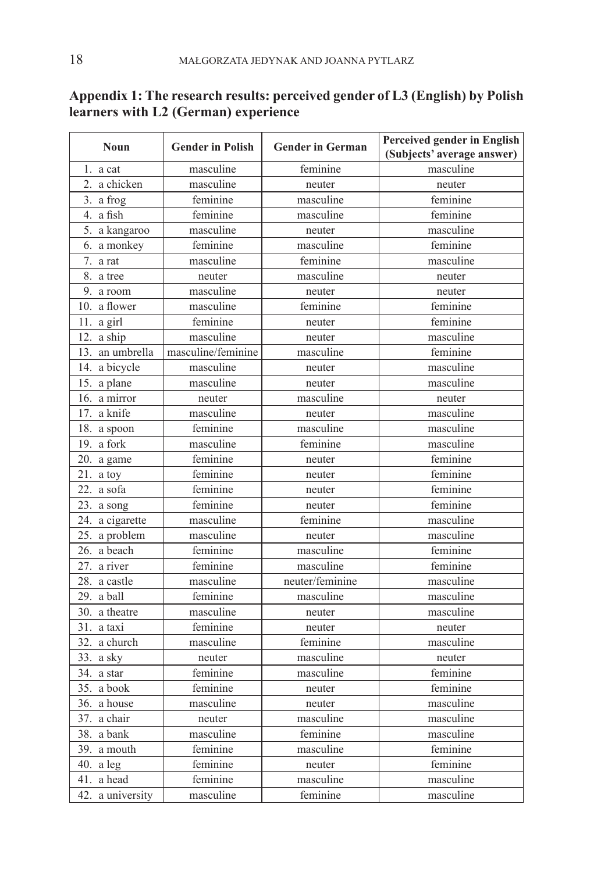| <b>Noun</b>        | <b>Gender in Polish</b> | <b>Gender in German</b> | <b>Perceived gender in English</b><br>(Subjects' average answer) |
|--------------------|-------------------------|-------------------------|------------------------------------------------------------------|
| 1. $a$ cat         | masculine               | feminine                | masculine                                                        |
| 2. a chicken       | masculine               | neuter                  | neuter                                                           |
| 3. a frog          | feminine                | masculine               | feminine                                                         |
| 4. a fish          | feminine                | masculine               | feminine                                                         |
| 5. a kangaroo      | masculine               | neuter                  | masculine                                                        |
| 6. a monkey        | feminine                | masculine               | feminine                                                         |
| 7.<br>a rat        | masculine               | feminine                | masculine                                                        |
| 8. a tree          | neuter                  | masculine               | neuter                                                           |
| 9. a room          | masculine               | neuter                  | neuter                                                           |
| 10. a flower       | masculine               | feminine                | feminine                                                         |
| 11. a girl         | feminine                | neuter                  | feminine                                                         |
| 12. a ship         | masculine               | neuter                  | masculine                                                        |
| 13.<br>an umbrella | masculine/feminine      | masculine               | feminine                                                         |
| 14. a bicycle      | masculine               | neuter                  | masculine                                                        |
| 15. a plane        | masculine               | neuter                  | masculine                                                        |
| 16. a mirror       | neuter                  | masculine               | neuter                                                           |
| 17. a knife        | masculine               | neuter                  | masculine                                                        |
| 18. a spoon        | feminine                | masculine               | masculine                                                        |
| 19. a fork         | masculine               | feminine                | masculine                                                        |
| 20. a game         | feminine                | neuter                  | feminine                                                         |
| $21.$ a toy        | feminine                | neuter                  | feminine                                                         |
| 22. a sofa         | feminine                | neuter                  | feminine                                                         |
| 23. a song         | feminine                | neuter                  | feminine                                                         |
| a cigarette<br>24. | masculine               | feminine                | masculine                                                        |
| a problem<br>25.   | masculine               | neuter                  | masculine                                                        |
| 26. a beach        | feminine                | masculine               | feminine                                                         |
| 27. a river        | feminine                | masculine               | feminine                                                         |
| 28. a castle       | masculine               | neuter/feminine         | masculine                                                        |
| 29. a ball         | feminine                | masculine               | masculine                                                        |
| 30. a theatre      | masculine               | neuter                  | masculine                                                        |
| 31. a taxi         | feminine                | neuter                  | neuter                                                           |
| 32. a church       | masculine               | feminine                | masculine                                                        |
| 33. a sky          | neuter                  | masculine               | neuter                                                           |
| 34. a star         | feminine                | masculine               | feminine                                                         |
| 35. a book         | feminine                | neuter                  | feminine                                                         |
| 36. a house        | masculine               | neuter                  | masculine                                                        |
| 37. a chair        | neuter                  | masculine               | masculine                                                        |
| 38. a bank         | masculine               | feminine                | masculine                                                        |
| 39. a mouth        | feminine                | masculine               | feminine                                                         |
| 40. a $leg$        | feminine                | neuter                  | feminine                                                         |
| a head<br>41.      | feminine                | masculine               | masculine                                                        |
| 42. a university   | masculine               | feminine                | masculine                                                        |

# **Appendix 1: The research results: perceived gender of L3 (English) by Polish learners with L2 (German) experience**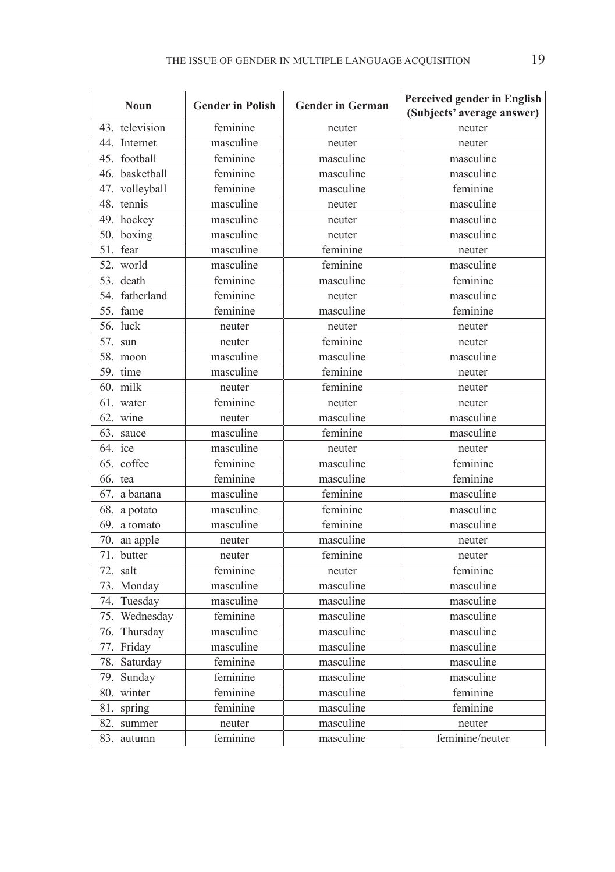| <b>Noun</b>     | <b>Gender in Polish</b> | <b>Gender in German</b> | Perceived gender in English<br>(Subjects' average answer) |
|-----------------|-------------------------|-------------------------|-----------------------------------------------------------|
| 43. television  | feminine                | neuter                  | neuter                                                    |
| 44. Internet    | masculine               | neuter                  | neuter                                                    |
| 45. football    | feminine                | masculine               | masculine                                                 |
| 46. basketball  | feminine                | masculine               | masculine                                                 |
| 47. volleyball  | feminine                | masculine               | feminine                                                  |
| 48. tennis      | masculine               | neuter                  | masculine                                                 |
| 49. hockey      | masculine               | neuter                  | masculine                                                 |
| 50.<br>boxing   | masculine               | neuter                  | masculine                                                 |
| 51. fear        | masculine               | feminine                | neuter                                                    |
| 52. world       | masculine               | feminine                | masculine                                                 |
| 53. death       | feminine                | masculine               | feminine                                                  |
| 54. fatherland  | feminine                | neuter                  | masculine                                                 |
| 55. fame        | feminine                | masculine               | feminine                                                  |
| 56. luck        | neuter                  | neuter                  | neuter                                                    |
| 57. sun         | neuter                  | feminine                | neuter                                                    |
| 58.<br>moon     | masculine               | masculine               | masculine                                                 |
| 59. time        | masculine               | feminine                | neuter                                                    |
| 60. milk        | neuter                  | feminine                | neuter                                                    |
| 61. water       | feminine                | neuter                  | neuter                                                    |
| 62. wine        | neuter                  | masculine               | masculine                                                 |
| 63. sauce       | masculine               | feminine                | masculine                                                 |
| 64. ice         | masculine               | neuter                  | neuter                                                    |
| 65. coffee      | feminine                | masculine               | feminine                                                  |
| 66. tea         | feminine                | masculine               | feminine                                                  |
| 67. a banana    | masculine               | feminine                | masculine                                                 |
| 68. a potato    | masculine               | feminine                | masculine                                                 |
| 69. a tomato    | masculine               | feminine                | masculine                                                 |
| 70. an apple    | neuter                  | masculine               | neuter                                                    |
| 71.<br>butter   | neuter                  | feminine                | neuter                                                    |
| 72. salt        | feminine                | neuter                  | feminine                                                  |
| 73. Monday      | masculine               | masculine               | masculine                                                 |
| 74. Tuesday     | masculine               | masculine               | masculine                                                 |
| 75. Wednesday   | feminine                | masculine               | masculine                                                 |
| 76. Thursday    | masculine               | masculine               | masculine                                                 |
| 77.<br>Friday   | masculine               | masculine               | masculine                                                 |
| 78.<br>Saturday | feminine                | masculine               | masculine                                                 |
| 79.<br>Sunday   | feminine                | masculine               | masculine                                                 |
| 80. winter      | feminine                | masculine               | feminine                                                  |
| 81.<br>spring   | feminine                | masculine               | feminine                                                  |
| 82.<br>summer   | neuter                  | masculine               | neuter                                                    |
| 83.<br>autumn   | feminine                | masculine               | feminine/neuter                                           |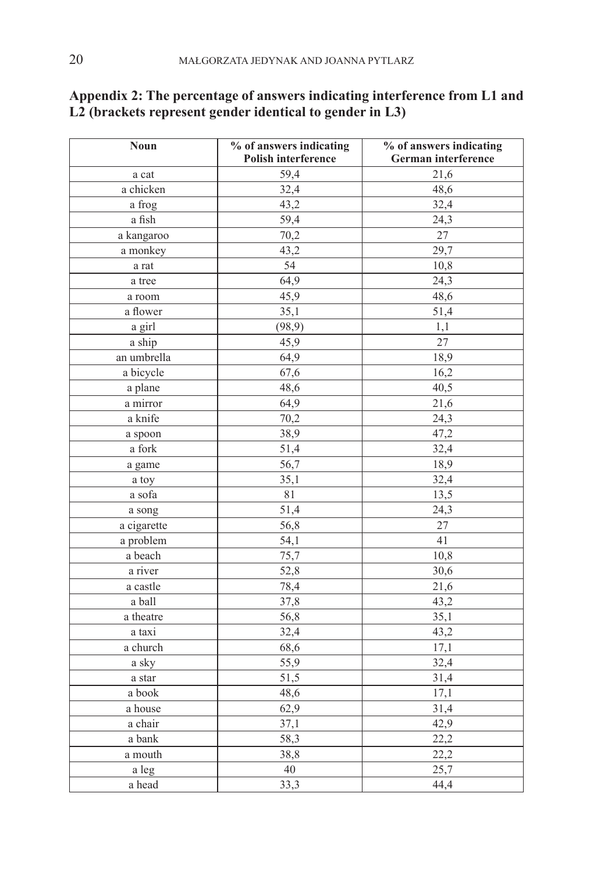| Polish interference<br>German interference<br>59,4<br>21,6<br>a cat<br>a chicken<br>32,4<br>48,6<br>32,4<br>43,2<br>a frog<br>a fish<br>59,4<br>24,3<br>27<br>a kangaroo<br>70,2<br>29,7<br>43,2<br>a monkey<br>54<br>10,8<br>a rat<br>64,9<br>24,3<br>a tree |
|---------------------------------------------------------------------------------------------------------------------------------------------------------------------------------------------------------------------------------------------------------------|
|                                                                                                                                                                                                                                                               |
|                                                                                                                                                                                                                                                               |
|                                                                                                                                                                                                                                                               |
|                                                                                                                                                                                                                                                               |
|                                                                                                                                                                                                                                                               |
|                                                                                                                                                                                                                                                               |
|                                                                                                                                                                                                                                                               |
|                                                                                                                                                                                                                                                               |
|                                                                                                                                                                                                                                                               |
| 45,9<br>48,6<br>a room                                                                                                                                                                                                                                        |
| 35,1<br>51,4<br>a flower                                                                                                                                                                                                                                      |
| (98, 9)<br>1,1<br>a girl                                                                                                                                                                                                                                      |
| 27<br>a ship<br>45,9                                                                                                                                                                                                                                          |
| an umbrella<br>18,9<br>64,9                                                                                                                                                                                                                                   |
| 16,2<br>a bicycle<br>67,6                                                                                                                                                                                                                                     |
| 48,6<br>40,5<br>a plane                                                                                                                                                                                                                                       |
| a mirror<br>64,9<br>21,6                                                                                                                                                                                                                                      |
| a knife<br>70,2<br>24,3                                                                                                                                                                                                                                       |
| 38,9<br>47,2<br>a spoon                                                                                                                                                                                                                                       |
| a fork<br>32,4<br>51,4                                                                                                                                                                                                                                        |
| 18,9<br>56,7<br>a game                                                                                                                                                                                                                                        |
| 32,4<br>35,1<br>a toy                                                                                                                                                                                                                                         |
| 13,5<br>81<br>a sofa                                                                                                                                                                                                                                          |
| 51,4<br>24,3<br>a song                                                                                                                                                                                                                                        |
| $\frac{1}{a}$ cigarette<br>56,8<br>27                                                                                                                                                                                                                         |
| a problem<br>54,1<br>41                                                                                                                                                                                                                                       |
| a beach<br>75,7<br>10,8                                                                                                                                                                                                                                       |
| 52,8<br>30,6<br>a river                                                                                                                                                                                                                                       |
| a castle<br>78,4<br>21,6                                                                                                                                                                                                                                      |
| 43,2<br>a ball<br>37,8                                                                                                                                                                                                                                        |
| 35,1<br>56,8<br>a theatre                                                                                                                                                                                                                                     |
| 43,2<br>32,4<br>a taxi                                                                                                                                                                                                                                        |
| a church<br>68,6<br>17,1                                                                                                                                                                                                                                      |
| 55,9<br>32,4<br>a sky                                                                                                                                                                                                                                         |
| 51,5<br>31,4<br>a star                                                                                                                                                                                                                                        |
| 48,6<br>17,1<br>a book                                                                                                                                                                                                                                        |
| 62,9<br>31,4<br>a house                                                                                                                                                                                                                                       |
| 42,9<br>a chair<br>37,1                                                                                                                                                                                                                                       |
| 22,2<br>58,3<br>a bank                                                                                                                                                                                                                                        |
| 22,2<br>38,8<br>a mouth                                                                                                                                                                                                                                       |
| 40<br>25,7<br>a leg                                                                                                                                                                                                                                           |
| a head<br>33,3<br>44,4                                                                                                                                                                                                                                        |

# **Appendix 2: The percentage of answers indicating interference from L1 and L2 (brackets represent gender identical to gender in L3)**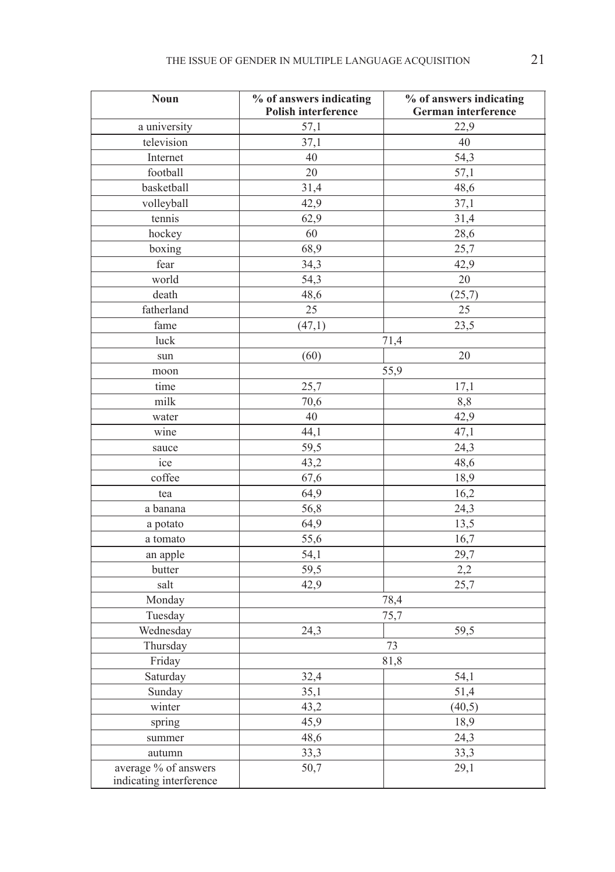| <b>Noun</b>             | % of answers indicating<br>Polish interference | % of answers indicating<br>German interference |
|-------------------------|------------------------------------------------|------------------------------------------------|
| a university            | 57,1                                           | 22,9                                           |
| television              | 37,1                                           | 40                                             |
| Internet                | 40                                             | 54,3                                           |
| football                | 20                                             | 57,1                                           |
| basketball              | 31,4                                           | 48,6                                           |
| volleyball              | 42,9                                           | 37,1                                           |
| tennis                  | 62,9                                           | 31,4                                           |
| hockey                  | 60                                             | 28,6                                           |
| boxing                  | 68,9                                           | 25,7                                           |
| fear                    | 34,3                                           | 42,9                                           |
| world                   | 54,3                                           | $20\,$                                         |
| death                   | 48,6                                           | (25,7)                                         |
| fatherland              | 25                                             | 25                                             |
| fame                    | (47,1)                                         | 23,5                                           |
| luck                    |                                                | 71,4                                           |
| sun                     | (60)                                           | 20                                             |
| moon                    | 55,9                                           |                                                |
| time                    | 25,7                                           | 17,1                                           |
| milk                    | 70,6                                           | 8,8                                            |
| water                   | 40                                             | 42,9                                           |
| wine                    | 44,1                                           | 47,1                                           |
| sauce                   | 59,5                                           | 24,3                                           |
| ice                     | 43,2                                           | 48,6                                           |
| coffee                  | 67,6                                           | 18,9                                           |
| tea                     | 64,9                                           | 16,2                                           |
| a banana                | 56,8                                           | 24,3                                           |
| a potato                | 64,9                                           | 13,5                                           |
| a tomato                | 55,6                                           | 16,7                                           |
| an apple                | 54,1                                           | 29,7                                           |
| butter                  | 59,5                                           | 2,2                                            |
| salt                    | 42,9                                           | 25,7                                           |
| Monday                  | 78,4                                           |                                                |
| Tuesday                 | 75,7                                           |                                                |
| Wednesday               | 24,3                                           | 59,5                                           |
| Thursday                |                                                | 73                                             |
| Friday                  | 81,8                                           |                                                |
| Saturday                | 32,4                                           | 54,1                                           |
| Sunday                  | 35,1                                           | 51,4                                           |
| winter                  | 43,2                                           | (40,5)                                         |
| spring                  | 45,9                                           | 18,9                                           |
| summer                  | 48,6                                           | 24,3                                           |
| autumn                  | 33,3                                           | 33,3                                           |
| average % of answers    | 50,7                                           | 29,1                                           |
| indicating interference |                                                |                                                |